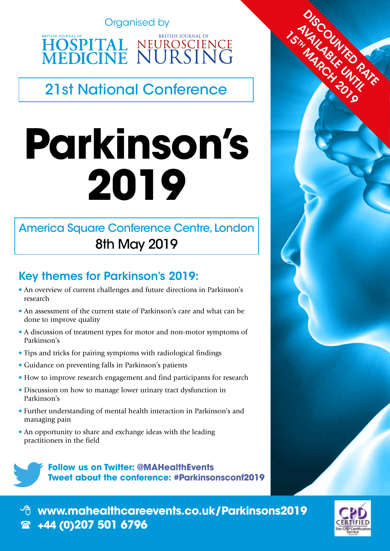Organised by

**HOSPITAL NEUROSCIENCE**<br>MEDICINE NURSING

21st National Conference

# **Parkinson's 2019**

# America Square Conference Centre, London 8th May 2019

# Key themes for Parkinson's 2019:

- An overview of current challenges and future directions in Parkinson's research
- An assessment of the current state of Parkinson's care and what can be done to improve quality
- A discussion of treatment types for motor and non-motor symptoms of Parkinson's
- Tips and tricks for pairing symptoms with radiological findings
- Guidance on preventing falls in Parkinson's patients
- How to improve research engagement and find participants for research
- Discussion on how to manage lower urinary tract dysfunction in Parkinson's
- Further understanding of mental health interaction in Parkinson's and managing pain
- An opportunity to share and exchange ideas with the leading practitioners in the field

**Follow us on Twitter: @MAHealthEvents Tweet about the conference: #Parkinsonsconf2019**



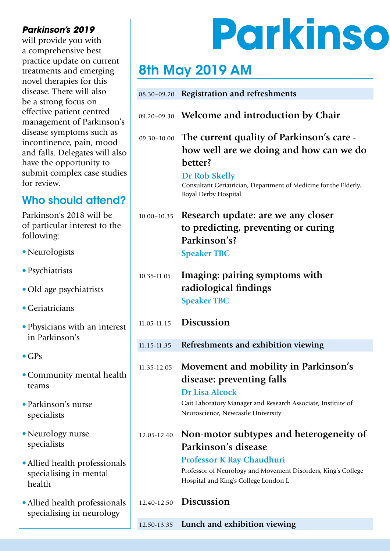will provide you with a comprehensive best practice update on current treatments and emerging novel therapies for this disease. There will also be a strong focus on effective patient centred management of Parkinson's disease symptoms such as incontinence, pain, mood and falls. Delegates will also have the opportunity to submit complex case studies for review.

# Who should attend?

Parkinson's 2018 will be of particular interest to the following:

- Neurologists
- Psychiatrists
- Old age psychiatrists
- Geriatricians
- Physicians with an interest in Parkinson's
- $\bullet$  GPs
- •Community mental health teams
- Parkinson's nurse specialists
- •Neurology nurse specialists
- •Allied health professionals specialising in mental health
- •Allied health professionals specialising in neurology

# Parkinson's 2019<br>Will provide you with **Parkinson's 2019**

# 8th May 2019 AM

| 08.30-09.20     | <b>Registration and refreshments</b>                                                                                                                                                                         |
|-----------------|--------------------------------------------------------------------------------------------------------------------------------------------------------------------------------------------------------------|
|                 | 09.20-09.30 Welcome and introduction by Chair                                                                                                                                                                |
| $09.30 - 10.00$ | The current quality of Parkinson's care -<br>how well are we doing and how can we do<br>better?<br>Dr Rob Skelly<br>Consultant Geriatrician, Department of Medicine for the Elderly,<br>Royal Derby Hospital |
| $10.00 - 10.35$ | Research update: are we any closer<br>to predicting, preventing or curing<br>Parkinson's?<br><b>Speaker TBC</b>                                                                                              |
| 10.35-11.05     | Imaging: pairing symptoms with<br>radiological findings<br><b>Speaker TBC</b>                                                                                                                                |
| 11.05-11.15     | <b>Discussion</b>                                                                                                                                                                                            |
| 11.15-11.35     | Refreshments and exhibition viewing                                                                                                                                                                          |
| 11.35-12.05     | Movement and mobility in Parkinson's<br>disease: preventing falls<br><b>Dr Lisa Alcock</b><br>Gait Laboratory Manager and Research Associate, Institute of<br>Neuroscience, Newcastle University             |
| 12.05-12.40     | Non-motor subtypes and heterogeneity of<br>Parkinson's disease<br><b>Professor K Ray Chaudhuri</b><br>Professor of Neurology and Movement Disorders, King's College<br>Hospital and King's College London L  |
| 12.40-12.50     | <b>Discussion</b>                                                                                                                                                                                            |

## 12.50-13.35 **Lunch and exhibition viewing**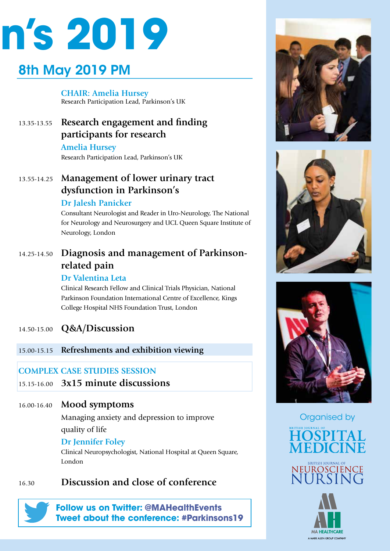

# 8th May 2019 PM

**CHAIR: Amelia Hursey**  Research Participation Lead, Parkinson's UK

## 13.35-13.55 **Research engagement and finding participants for research**

**Amelia Hursey** Research Participation Lead, Parkinson's UK

## 13.55-14.25 **Management of lower urinary tract dysfunction in Parkinson's**

#### **Dr Jalesh Panicker**

Consultant Neurologist and Reader in Uro-Neurology, The National for Neurology and Neurosurgery and UCL Queen Square Institute of Neurology, London

## 14.25-14.50 **Diagnosis and management of Parkinsonrelated pain**

#### **Dr Valentina Leta**

Clinical Research Fellow and Clinical Trials Physician, National Parkinson Foundation International Centre of Excellence, Kings College Hospital NHS Foundation Trust, London

## 14.50-15.00 **Q&A/Discussion**

15.00-15.15 **Refreshments and exhibition viewing**

### **COMPLEX CASE STUDIES SESSION**

### 15.15-16.00 **3x15 minute discussions**

#### 16.00-16.40 **Mood symptoms**

Managing anxiety and depression to improve quality of life

#### **Dr Jennifer Foley**

Clinical Neuropsychologist, National Hospital at Queen Square, London

## 16.30 **Discussion and close of conference**

**Follow us on Twitter: @MAHealthEvents Tweet about the conference: #Parkinsons19**







Organised by